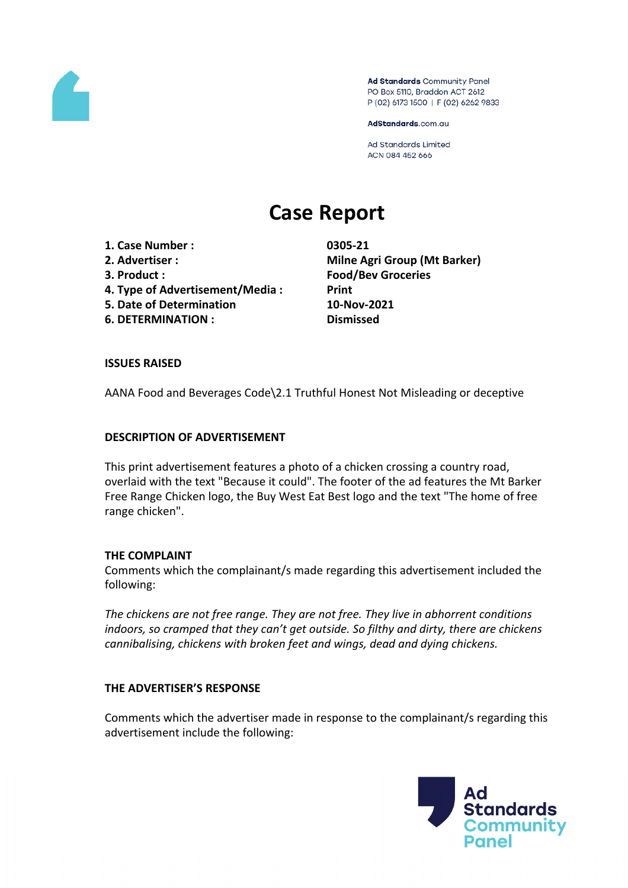

Ad Standards Community Panel PO Box 5110, Braddon ACT 2612 P (02) 6173 1500 | F (02) 6262 9833

AdStandards.com.au

**Ad Standards Limited** ACN 084 452 666

# **Case Report**

**1. Case Number : 0305-21**

- 
- 
- **4. Type of Advertisement/Media : Print**
- **5. Date of Determination 10-Nov-2021**
- **6. DETERMINATION : Dismissed**

**2. Advertiser : Milne Agri Group (Mt Barker) 3. Product : Food/Bev Groceries**

#### **ISSUES RAISED**

AANA Food and Beverages Code\2.1 Truthful Honest Not Misleading or deceptive

#### **DESCRIPTION OF ADVERTISEMENT**

This print advertisement features a photo of a chicken crossing a country road, overlaid with the text "Because it could". The footer of the ad features the Mt Barker Free Range Chicken logo, the Buy West Eat Best logo and the text "The home of free range chicken".

#### **THE COMPLAINT**

Comments which the complainant/s made regarding this advertisement included the following:

*The chickens are not free range. They are not free. They live in abhorrent conditions indoors, so cramped that they can't get outside. So filthy and dirty, there are chickens cannibalising, chickens with broken feet and wings, dead and dying chickens.*

#### **THE ADVERTISER'S RESPONSE**

Comments which the advertiser made in response to the complainant/s regarding this advertisement include the following:

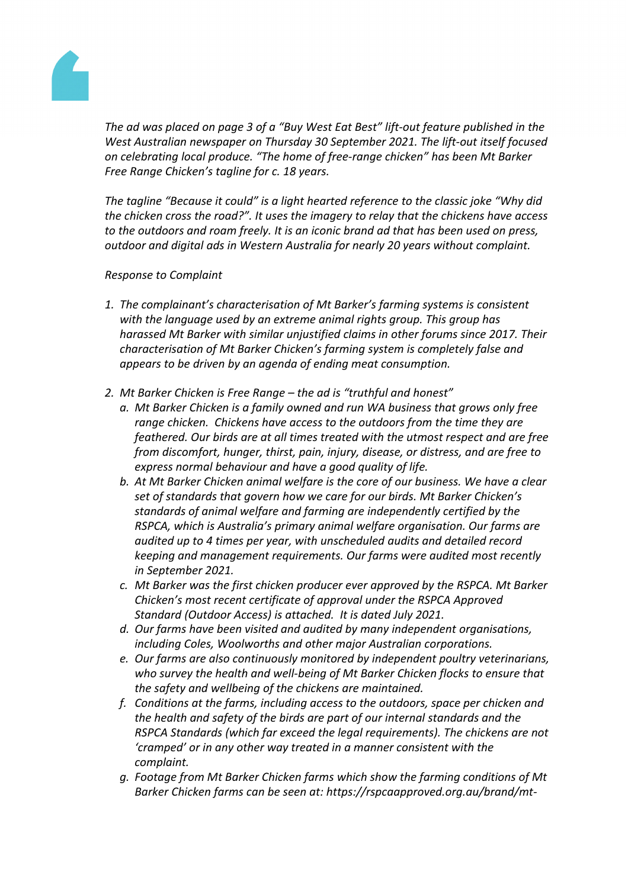

*The ad was placed on page 3 of a "Buy West Eat Best" lift-out feature published in the West Australian newspaper on Thursday 30 September 2021. The lift-out itself focused on celebrating local produce. "The home of free-range chicken" has been Mt Barker Free Range Chicken's tagline for c. 18 years.*

*The tagline "Because it could" is a light hearted reference to the classic joke "Why did the chicken cross the road?". It uses the imagery to relay that the chickens have access to the outdoors and roam freely. It is an iconic brand ad that has been used on press, outdoor and digital ads in Western Australia for nearly 20 years without complaint.*

#### *Response to Complaint*

- *1. The complainant's characterisation of Mt Barker's farming systems is consistent with the language used by an extreme animal rights group. This group has harassed Mt Barker with similar unjustified claims in other forums since 2017. Their characterisation of Mt Barker Chicken's farming system is completely false and appears to be driven by an agenda of ending meat consumption.*
- *2. Mt Barker Chicken is Free Range – the ad is "truthful and honest"*
	- *a. Mt Barker Chicken is a family owned and run WA business that grows only free range chicken. Chickens have access to the outdoors from the time they are feathered. Our birds are at all times treated with the utmost respect and are free from discomfort, hunger, thirst, pain, injury, disease, or distress, and are free to express normal behaviour and have a good quality of life.*
	- *b. At Mt Barker Chicken animal welfare is the core of our business. We have a clear set of standards that govern how we care for our birds. Mt Barker Chicken's standards of animal welfare and farming are independently certified by the RSPCA, which is Australia's primary animal welfare organisation. Our farms are audited up to 4 times per year, with unscheduled audits and detailed record keeping and management requirements. Our farms were audited most recently in September 2021.*
	- *c. Mt Barker was the first chicken producer ever approved by the RSPCA. Mt Barker Chicken's most recent certificate of approval under the RSPCA Approved Standard (Outdoor Access) is attached. It is dated July 2021.*
	- *d. Our farms have been visited and audited by many independent organisations, including Coles, Woolworths and other major Australian corporations.*
	- *e. Our farms are also continuously monitored by independent poultry veterinarians, who survey the health and well-being of Mt Barker Chicken flocks to ensure that the safety and wellbeing of the chickens are maintained.*
	- *f. Conditions at the farms, including access to the outdoors, space per chicken and the health and safety of the birds are part of our internal standards and the RSPCA Standards (which far exceed the legal requirements). The chickens are not 'cramped' or in any other way treated in a manner consistent with the complaint.*
	- *g. Footage from Mt Barker Chicken farms which show the farming conditions of Mt Barker Chicken farms can be seen at: https://rspcaapproved.org.au/brand/mt-*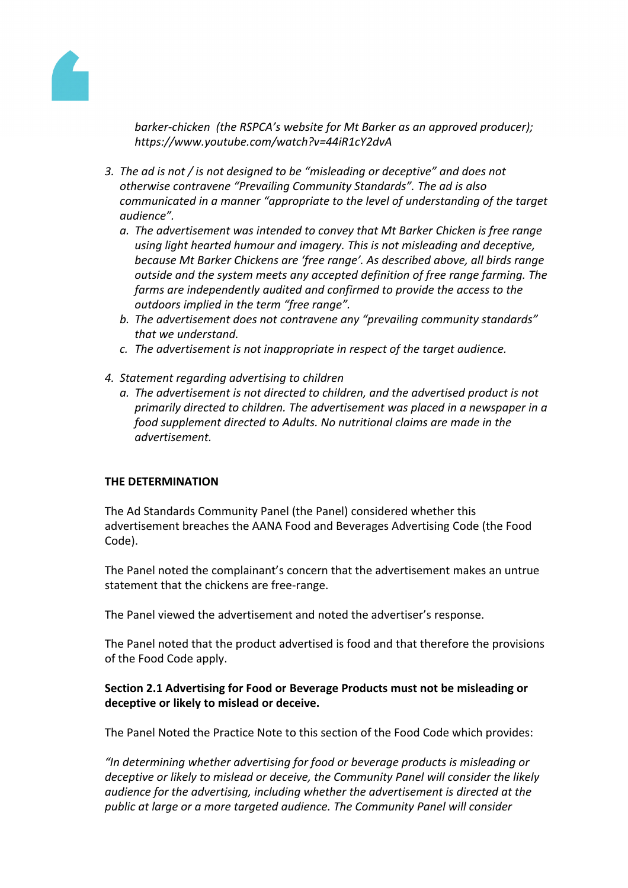

*barker-chicken (the RSPCA's website for Mt Barker as an approved producer); https://www.youtube.com/watch?v=44iR1cY2dvA*

- *3. The ad is not / is not designed to be "misleading or deceptive" and does not otherwise contravene "Prevailing Community Standards". The ad is also communicated in a manner "appropriate to the level of understanding of the target audience".*
	- *a. The advertisement was intended to convey that Mt Barker Chicken is free range using light hearted humour and imagery. This is not misleading and deceptive, because Mt Barker Chickens are 'free range'. As described above, all birds range outside and the system meets any accepted definition of free range farming. The farms are independently audited and confirmed to provide the access to the outdoors implied in the term "free range".*
	- *b. The advertisement does not contravene any "prevailing community standards" that we understand.*
	- *c. The advertisement is not inappropriate in respect of the target audience.*
- *4. Statement regarding advertising to children*
	- *a. The advertisement is not directed to children, and the advertised product is not primarily directed to children. The advertisement was placed in a newspaper in a food supplement directed to Adults. No nutritional claims are made in the advertisement.*

## **THE DETERMINATION**

The Ad Standards Community Panel (the Panel) considered whether this advertisement breaches the AANA Food and Beverages Advertising Code (the Food Code).

The Panel noted the complainant's concern that the advertisement makes an untrue statement that the chickens are free-range.

The Panel viewed the advertisement and noted the advertiser's response.

The Panel noted that the product advertised is food and that therefore the provisions of the Food Code apply.

## **Section 2.1 Advertising for Food or Beverage Products must not be misleading or deceptive or likely to mislead or deceive.**

The Panel Noted the Practice Note to this section of the Food Code which provides:

*"In determining whether advertising for food or beverage products is misleading or deceptive or likely to mislead or deceive, the Community Panel will consider the likely audience for the advertising, including whether the advertisement is directed at the public at large or a more targeted audience. The Community Panel will consider*